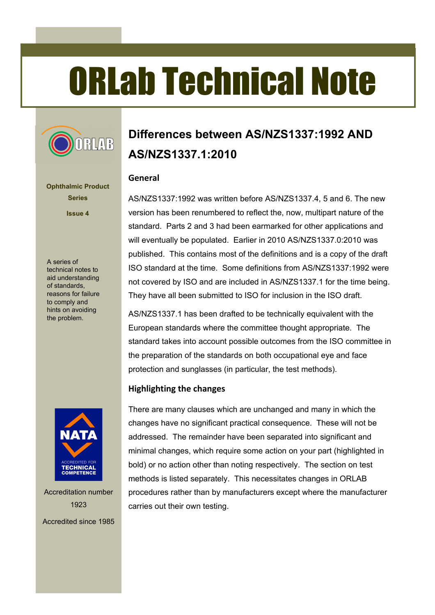# ORLab Technical Note



**Ophthalmic Product Series Issue 4**

A series of technical notes to aid understanding of standards, reasons for failure to comply and hints on avoiding the problem.



Accreditation number 1923 Accredited since 1985

# **Differences between AS/NZS1337:1992 AND AS/NZS1337.1:2010**

#### **General**

AS/NZS1337:1992 was written before AS/NZS1337.4, 5 and 6. The new version has been renumbered to reflect the, now, multipart nature of the standard. Parts 2 and 3 had been earmarked for other applications and will eventually be populated. Earlier in 2010 AS/NZS1337.0:2010 was published. This contains most of the definitions and is a copy of the draft ISO standard at the time. Some definitions from AS/NZS1337:1992 were not covered by ISO and are included in AS/NZS1337.1 for the time being. They have all been submitted to ISO for inclusion in the ISO draft.

AS/NZS1337.1 has been drafted to be technically equivalent with the European standards where the committee thought appropriate. The standard takes into account possible outcomes from the ISO committee in the preparation of the standards on both occupational eye and face protection and sunglasses (in particular, the test methods).

### **Highlighting the changes**

There are many clauses which are unchanged and many in which the changes have no significant practical consequence. These will not be addressed. The remainder have been separated into significant and minimal changes, which require some action on your part (highlighted in bold) or no action other than noting respectively. The section on test methods is listed separately. This necessitates changes in ORLAB procedures rather than by manufacturers except where the manufacturer carries out their own testing.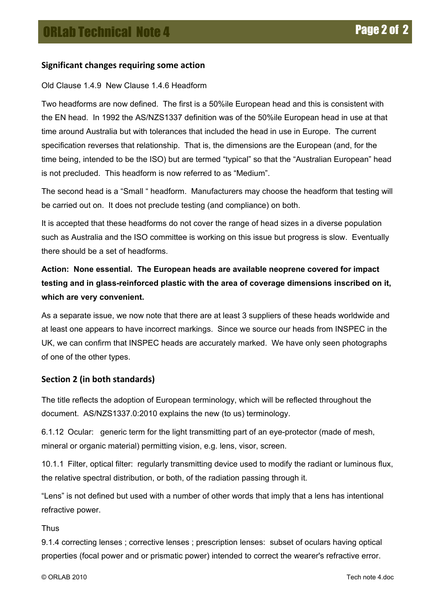# **Significant changes requiring some action**

#### Old Clause 1.4.9 New Clause 1.4.6 Headform

Two headforms are now defined. The first is a 50%ile European head and this is consistent with the EN head. In 1992 the AS/NZS1337 definition was of the 50%ile European head in use at that time around Australia but with tolerances that included the head in use in Europe. The current specification reverses that relationship. That is, the dimensions are the European (and, for the time being, intended to be the ISO) but are termed "typical" so that the "Australian European" head is not precluded. This headform is now referred to as "Medium".

The second head is a "Small " headform. Manufacturers may choose the headform that testing will be carried out on. It does not preclude testing (and compliance) on both.

It is accepted that these headforms do not cover the range of head sizes in a diverse population such as Australia and the ISO committee is working on this issue but progress is slow. Eventually there should be a set of headforms.

# **Action: None essential. The European heads are available neoprene covered for impact testing and in glass-reinforced plastic with the area of coverage dimensions inscribed on it, which are very convenient.**

As a separate issue, we now note that there are at least 3 suppliers of these heads worldwide and at least one appears to have incorrect markings. Since we source our heads from INSPEC in the UK, we can confirm that INSPEC heads are accurately marked. We have only seen photographs of one of the other types.

# Section 2 (in both standards)

The title reflects the adoption of European terminology, which will be reflected throughout the document. AS/NZS1337.0:2010 explains the new (to us) terminology.

6.1.12 Ocular: generic term for the light transmitting part of an eye-protector (made of mesh, mineral or organic material) permitting vision, e.g. lens, visor, screen.

10.1.1 Filter, optical filter: regularly transmitting device used to modify the radiant or luminous flux, the relative spectral distribution, or both, of the radiation passing through it.

"Lens" is not defined but used with a number of other words that imply that a lens has intentional refractive power.

Thus

9.1.4 correcting lenses ; corrective lenses ; prescription lenses: subset of oculars having optical properties (focal power and or prismatic power) intended to correct the wearer's refractive error.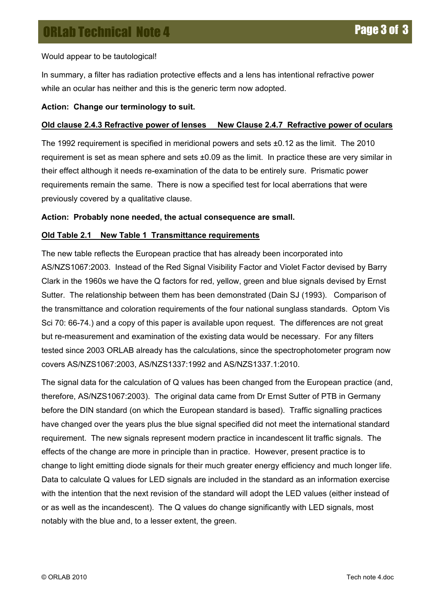Would appear to be tautological!

In summary, a filter has radiation protective effects and a lens has intentional refractive power while an ocular has neither and this is the generic term now adopted.

#### **Action: Change our terminology to suit.**

#### **Old clause 2.4.3 Refractive power of lenses New Clause 2.4.7 Refractive power of oculars**

The 1992 requirement is specified in meridional powers and sets  $\pm 0.12$  as the limit. The 2010 requirement is set as mean sphere and sets ±0.09 as the limit. In practice these are very similar in their effect although it needs re-examination of the data to be entirely sure. Prismatic power requirements remain the same. There is now a specified test for local aberrations that were previously covered by a qualitative clause.

#### **Action: Probably none needed, the actual consequence are small.**

#### **Old Table 2.1 New Table 1 Transmittance requirements**

The new table reflects the European practice that has already been incorporated into AS/NZS1067:2003. Instead of the Red Signal Visibility Factor and Violet Factor devised by Barry Clark in the 1960s we have the Q factors for red, yellow, green and blue signals devised by Ernst Sutter. The relationship between them has been demonstrated (Dain SJ (1993). Comparison of the transmittance and coloration requirements of the four national sunglass standards. Optom Vis Sci 70: 66-74.) and a copy of this paper is available upon request. The differences are not great but re-measurement and examination of the existing data would be necessary. For any filters tested since 2003 ORLAB already has the calculations, since the spectrophotometer program now covers AS/NZS1067:2003, AS/NZS1337:1992 and AS/NZS1337.1:2010.

The signal data for the calculation of Q values has been changed from the European practice (and, therefore, AS/NZS1067:2003). The original data came from Dr Ernst Sutter of PTB in Germany before the DIN standard (on which the European standard is based). Traffic signalling practices have changed over the years plus the blue signal specified did not meet the international standard requirement. The new signals represent modern practice in incandescent lit traffic signals. The effects of the change are more in principle than in practice. However, present practice is to change to light emitting diode signals for their much greater energy efficiency and much longer life. Data to calculate Q values for LED signals are included in the standard as an information exercise with the intention that the next revision of the standard will adopt the LED values (either instead of or as well as the incandescent). The Q values do change significantly with LED signals, most notably with the blue and, to a lesser extent, the green.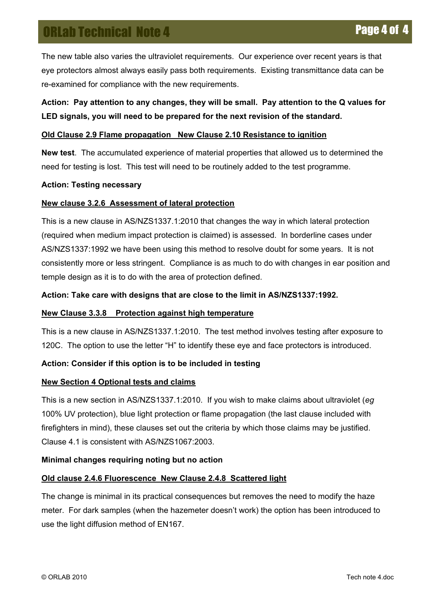The new table also varies the ultraviolet requirements. Our experience over recent years is that eye protectors almost always easily pass both requirements. Existing transmittance data can be re-examined for compliance with the new requirements.

# **Action: Pay attention to any changes, they will be small. Pay attention to the Q values for LED signals, you will need to be prepared for the next revision of the standard.**

#### **Old Clause 2.9 Flame propagation New Clause 2.10 Resistance to ignition**

**New test**. The accumulated experience of material properties that allowed us to determined the need for testing is lost. This test will need to be routinely added to the test programme.

#### **Action: Testing necessary**

#### **New clause 3.2.6 Assessment of lateral protection**

This is a new clause in AS/NZS1337.1:2010 that changes the way in which lateral protection (required when medium impact protection is claimed) is assessed. In borderline cases under AS/NZS1337:1992 we have been using this method to resolve doubt for some years. It is not consistently more or less stringent. Compliance is as much to do with changes in ear position and temple design as it is to do with the area of protection defined.

#### **Action: Take care with designs that are close to the limit in AS/NZS1337:1992.**

#### **New Clause 3.3.8 Protection against high temperature**

This is a new clause in AS/NZS1337.1:2010. The test method involves testing after exposure to 120C. The option to use the letter "H" to identify these eye and face protectors is introduced.

#### **Action: Consider if this option is to be included in testing**

#### **New Section 4 Optional tests and claims**

This is a new section in AS/NZS1337.1:2010. If you wish to make claims about ultraviolet (*eg* 100% UV protection), blue light protection or flame propagation (the last clause included with firefighters in mind), these clauses set out the criteria by which those claims may be justified. Clause 4.1 is consistent with AS/NZS1067:2003.

#### **Minimal changes requiring noting but no action**

#### **Old clause 2.4.6 Fluorescence New Clause 2.4.8 Scattered light**

The change is minimal in its practical consequences but removes the need to modify the haze meter. For dark samples (when the hazemeter doesn't work) the option has been introduced to use the light diffusion method of EN167.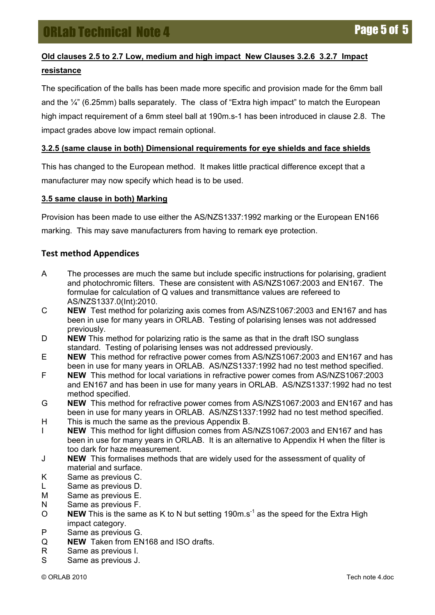# **Old clauses 2.5 to 2.7 Low, medium and high impact New Clauses 3.2.6 3.2.7 Impact resistance**

The specification of the balls has been made more specific and provision made for the 6mm ball and the  $\frac{1}{4}$ " (6.25mm) balls separately. The class of "Extra high impact" to match the European high impact requirement of a 6mm steel ball at 190m.s-1 has been introduced in clause 2.8. The impact grades above low impact remain optional.

#### **3.2.5 (same clause in both) Dimensional requirements for eye shields and face shields**

This has changed to the European method. It makes little practical difference except that a manufacturer may now specify which head is to be used.

#### **3.5 same clause in both) Marking**

Provision has been made to use either the AS/NZS1337:1992 marking or the European EN166 marking. This may save manufacturers from having to remark eye protection.

#### **Test'method'Appendices**

- A The processes are much the same but include specific instructions for polarising, gradient and photochromic filters. These are consistent with AS/NZS1067:2003 and EN167. The formulae for calculation of Q values and transmittance values are refereed to AS/NZS1337.0(Int):2010.
- C **NEW** Test method for polarizing axis comes from AS/NZS1067:2003 and EN167 and has been in use for many years in ORLAB. Testing of polarising lenses was not addressed previously.
- D **NEW** This method for polarizing ratio is the same as that in the draft ISO sunglass standard. Testing of polarising lenses was not addressed previously.
- E **NEW** This method for refractive power comes from AS/NZS1067:2003 and EN167 and has been in use for many years in ORLAB. AS/NZS1337:1992 had no test method specified.
- F **NEW** This method for local variations in refractive power comes from AS/NZS1067:2003 and EN167 and has been in use for many years in ORLAB. AS/NZS1337:1992 had no test method specified.
- G **NEW** This method for refractive power comes from AS/NZS1067:2003 and EN167 and has been in use for many years in ORLAB. AS/NZS1337:1992 had no test method specified.
- H This is much the same as the previous Appendix B.
- I **NEW** This method for light diffusion comes from AS/NZS1067:2003 and EN167 and has been in use for many years in ORLAB. It is an alternative to Appendix H when the filter is too dark for haze measurement.
- J **NEW** This formalises methods that are widely used for the assessment of quality of material and surface.
- K Same as previous C.
- L Same as previous D.
- M Same as previous E.
- N Same as previous F.
- O **NEW** This is the same as K to N but setting 190m.s<sup>-1</sup> as the speed for the Extra High impact category.
- P Same as previous G.
- Q **NEW** Taken from EN168 and ISO drafts.
- R Same as previous I.
- S Same as previous J.